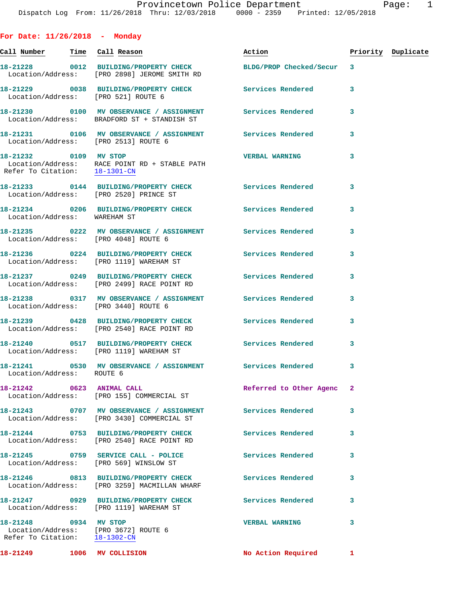| For Date: $11/26/2018$ - Monday                                                                |                                                                                                               |                          |                    |  |
|------------------------------------------------------------------------------------------------|---------------------------------------------------------------------------------------------------------------|--------------------------|--------------------|--|
| <u>Call Number — Time Call Reason</u>                                                          |                                                                                                               | Action                   | Priority Duplicate |  |
|                                                                                                | 18-21228 0012 BUILDING/PROPERTY CHECK BLDG/PROP Checked/Secur<br>Location/Address: [PRO 2898] JEROME SMITH RD |                          | $\mathbf{3}$       |  |
| Location/Address: [PRO 521] ROUTE 6                                                            | 18-21229 0038 BUILDING/PROPERTY CHECK Services Rendered                                                       |                          | 3                  |  |
|                                                                                                | 18-21230 0100 MV OBSERVANCE / ASSIGNMENT Services Rendered<br>Location/Address: BRADFORD ST + STANDISH ST     |                          | 3                  |  |
| Location/Address: [PRO 2513] ROUTE 6                                                           | 18-21231 0106 MV OBSERVANCE / ASSIGNMENT Services Rendered                                                    |                          | 3                  |  |
| 18-21232 0109 MV STOP<br>Refer To Citation: 18-1301-CN                                         | Location/Address: RACE POINT RD + STABLE PATH                                                                 | <b>VERBAL WARNING</b>    | 3                  |  |
|                                                                                                | 18-21233 0144 BUILDING/PROPERTY CHECK Services Rendered<br>Location/Address: [PRO 2520] PRINCE ST             |                          | 3                  |  |
| Location/Address: WAREHAM ST                                                                   | 18-21234 0206 BUILDING/PROPERTY CHECK                                                                         | Services Rendered        | 3                  |  |
| Location/Address: [PRO 4048] ROUTE 6                                                           | 18-21235 0222 MV OBSERVANCE / ASSIGNMENT Services Rendered                                                    |                          | 3                  |  |
|                                                                                                | 18-21236 0224 BUILDING/PROPERTY CHECK Services Rendered<br>Location/Address: [PRO 1119] WAREHAM ST            |                          | 3                  |  |
|                                                                                                | 18-21237 0249 BUILDING/PROPERTY CHECK Services Rendered<br>Location/Address: [PRO 2499] RACE POINT RD         |                          | 3                  |  |
| Location/Address: [PRO 3440] ROUTE 6                                                           | 18-21238 0317 MV OBSERVANCE / ASSIGNMENT Services Rendered                                                    |                          | 3                  |  |
|                                                                                                | 18-21239 0428 BUILDING/PROPERTY CHECK Services Rendered<br>Location/Address: [PRO 2540] RACE POINT RD         |                          | 3                  |  |
|                                                                                                | 18-21240 0517 BUILDING/PROPERTY CHECK Services Rendered<br>Location/Address: [PRO 1119] WAREHAM ST            |                          | 3                  |  |
| Location/Address: ROUTE 6                                                                      | 18-21241 0530 MV OBSERVANCE / ASSIGNMENT Services Rendered                                                    |                          | 3                  |  |
|                                                                                                | 18-21242 0623 ANIMAL CALL<br>Location/Address: [PRO 155] COMMERCIAL ST                                        | Referred to Other Agenc  | 2                  |  |
|                                                                                                | Location/Address: [PRO 3430] COMMERCIAL ST                                                                    |                          | 3                  |  |
|                                                                                                | 18-21244 0753 BUILDING/PROPERTY CHECK<br>Location/Address: [PRO 2540] RACE POINT RD                           | <b>Services Rendered</b> | 3                  |  |
|                                                                                                | 18-21245 0759 SERVICE CALL - POLICE<br>Location/Address: [PRO 569] WINSLOW ST                                 | <b>Services Rendered</b> | 3                  |  |
|                                                                                                | 18-21246 0813 BUILDING/PROPERTY CHECK Services Rendered<br>Location/Address: [PRO 3259] MACMILLAN WHARF       |                          | 3                  |  |
|                                                                                                | 18-21247 0929 BUILDING/PROPERTY CHECK Services Rendered<br>Location/Address: [PRO 1119] WAREHAM ST            |                          | 3                  |  |
| 18-21248 0934 MV STOP<br>Location/Address: [PRO 3672] ROUTE 6<br>Refer To Citation: 18-1302-CN |                                                                                                               | <b>VERBAL WARNING</b>    | 3                  |  |
| 18-21249 1006 MV COLLISION                                                                     |                                                                                                               | No Action Required       | $\mathbf{1}$       |  |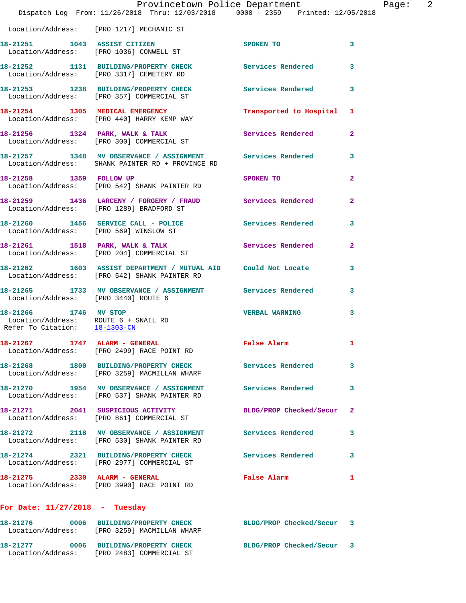|                                                                                                | Provincetown Police Department<br>Dispatch Log From: 11/26/2018 Thru: 12/03/2018 0000 - 2359 Printed: 12/05/2018 |                          |                |
|------------------------------------------------------------------------------------------------|------------------------------------------------------------------------------------------------------------------|--------------------------|----------------|
|                                                                                                | Location/Address: [PRO 1217] MECHANIC ST                                                                         |                          |                |
|                                                                                                | 18-21251 1043 ASSIST CITIZEN<br>Location/Address: [PRO 1036] CONWELL ST                                          | SPOKEN TO                | 3              |
|                                                                                                | 18-21252 1131 BUILDING/PROPERTY CHECK<br>Location/Address: [PRO 3317] CEMETERY RD                                | Services Rendered        | 3              |
|                                                                                                | 18-21253 1238 BUILDING/PROPERTY CHECK Services Rendered<br>Location/Address: [PRO 357] COMMERCIAL ST             |                          | 3              |
|                                                                                                | 18-21254 1305 MEDICAL EMERGENCY<br>Location/Address: [PRO 440] HARRY KEMP WAY                                    | Transported to Hospital  | 1              |
|                                                                                                | 18-21256 1324 PARK, WALK & TALK<br>Location/Address: [PRO 300] COMMERCIAL ST                                     | Services Rendered        | $\mathbf{2}$   |
|                                                                                                | 18-21257 1348 MV OBSERVANCE / ASSIGNMENT Services Rendered<br>Location/Address: SHANK PAINTER RD + PROVINCE RD   |                          | 3              |
| 18-21258 1359 FOLLOW UP                                                                        | Location/Address: [PRO 542] SHANK PAINTER RD                                                                     | SPOKEN TO                | $\mathbf{2}$   |
|                                                                                                | 18-21259 1436 LARCENY / FORGERY / FRAUD Services Rendered<br>Location/Address: [PRO 1289] BRADFORD ST            |                          | $\overline{a}$ |
| Location/Address: [PRO 569] WINSLOW ST                                                         | 18-21260 1456 SERVICE CALL - POLICE Services Rendered                                                            |                          | 3              |
|                                                                                                | 18-21261 1518 PARK, WALK & TALK Services Rendered<br>Location/Address: [PRO 204] COMMERCIAL ST                   |                          | $\overline{a}$ |
|                                                                                                | 18-21262 1603 ASSIST DEPARTMENT / MUTUAL AID Could Not Locate<br>Location/Address: [PRO 542] SHANK PAINTER RD    |                          | 3              |
| Location/Address: [PRO 3440] ROUTE 6                                                           | 18-21265 1733 MV OBSERVANCE / ASSIGNMENT Services Rendered                                                       |                          | 3              |
| 18-21266 1746 MV STOP<br>Location/Address: ROUTE 6 + SNAIL RD<br>Refer To Citation: 18-1303-CN |                                                                                                                  | <b>VERBAL WARNING</b>    | 3              |
|                                                                                                | 18-21267 1747 ALARM - GENERAL<br>Location/Address: [PRO 2499] RACE POINT RD                                      | False Alarm              | 1              |
|                                                                                                | 18-21268 1800 BUILDING/PROPERTY CHECK<br>Location/Address: [PRO 3259] MACMILLAN WHARF                            | <b>Services Rendered</b> | 3              |
|                                                                                                | 18-21270 1954 MV OBSERVANCE / ASSIGNMENT Services Rendered<br>Location/Address: [PRO 537] SHANK PAINTER RD       |                          | 3              |
|                                                                                                | 18-21271 2041 SUSPICIOUS ACTIVITY<br>Location/Address: [PRO 861] COMMERCIAL ST                                   | BLDG/PROP Checked/Secur  | 2              |
|                                                                                                | 18-21272 2118 MV OBSERVANCE / ASSIGNMENT Services Rendered<br>Location/Address: [PRO 530] SHANK PAINTER RD       |                          | 3              |
|                                                                                                | 18-21274 2321 BUILDING/PROPERTY CHECK Services Rendered<br>Location/Address: [PRO 2977] COMMERCIAL ST            |                          | 3              |
| 18-21275 2330 ALARM - GENERAL                                                                  | Location/Address: [PRO 3990] RACE POINT RD                                                                       | False Alarm              | 1              |
| For Date: $11/27/2018$ - Tuesday                                                               |                                                                                                                  |                          |                |
|                                                                                                | 18-21276 0006 BUILDING/PROPERTY CHECK BLDG/PROP Checked/Secur 3<br>Location/Address: [PRO 3259] MACMILLAN WHARF  |                          |                |

**18-21277 0006 BUILDING/PROPERTY CHECK BLDG/PROP Checked/Secur 3**  Location/Address: [PRO 2483] COMMERCIAL ST

Page: 2<br>18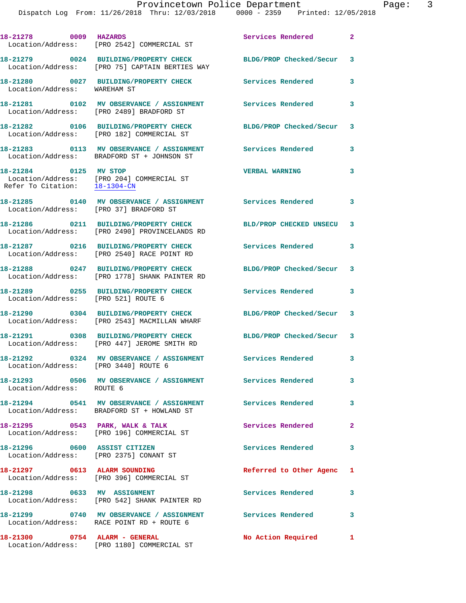Dispatch Log From: 11/26/2018 Thru: 12/03/2018 0000 - 2359 Printed: 12/05/2018

| 18-21278 0009 HAZARDS                                  | Location/Address: [PRO 2542] COMMERCIAL ST                                                                | Services Rendered         | $\mathbf{2}$ |
|--------------------------------------------------------|-----------------------------------------------------------------------------------------------------------|---------------------------|--------------|
|                                                        | 18-21279 0024 BUILDING/PROPERTY CHECK<br>Location/Address: [PRO 75] CAPTAIN BERTIES WAY                   | BLDG/PROP Checked/Secur   | 3            |
| Location/Address: WAREHAM ST                           | 18-21280 0027 BUILDING/PROPERTY CHECK                                                                     | Services Rendered         | 3            |
|                                                        | 18-21281 0102 MV OBSERVANCE / ASSIGNMENT<br>Location/Address: [PRO 2489] BRADFORD ST                      | Services Rendered         | 3            |
|                                                        | 18-21282 0106 BUILDING/PROPERTY CHECK<br>Location/Address: [PRO 182] COMMERCIAL ST                        | BLDG/PROP Checked/Secur   | 3            |
|                                                        | Location/Address: BRADFORD ST + JOHNSON ST                                                                | Services Rendered         | 3            |
| 18-21284 0125 MV STOP<br>Refer To Citation: 18-1304-CN | Location/Address: [PRO 204] COMMERCIAL ST                                                                 | <b>VERBAL WARNING</b>     | 3            |
| Location/Address: [PRO 37] BRADFORD ST                 | 18-21285 0140 MV OBSERVANCE / ASSIGNMENT Services Rendered                                                |                           | 3            |
|                                                        | 18-21286 0211 BUILDING/PROPERTY CHECK<br>Location/Address: [PRO 2490] PROVINCELANDS RD                    | BLD/PROP CHECKED UNSECU   | 3            |
|                                                        | 18-21287 0216 BUILDING/PROPERTY CHECK<br>Location/Address: [PRO 2540] RACE POINT RD                       | Services Rendered         | 3            |
|                                                        | 18-21288 0247 BUILDING/PROPERTY CHECK<br>Location/Address: [PRO 1778] SHANK PAINTER RD                    | BLDG/PROP Checked/Secur   | 3            |
| Location/Address: [PRO 521] ROUTE 6                    | 18-21289 0255 BUILDING/PROPERTY CHECK                                                                     | Services Rendered         | 3            |
|                                                        | 18-21290 0304 BUILDING/PROPERTY CHECK<br>Location/Address: [PRO 2543] MACMILLAN WHARF                     | BLDG/PROP Checked/Secur 3 |              |
|                                                        | 18-21291 0308 BUILDING/PROPERTY CHECK<br>Location/Address: [PRO 447] JEROME SMITH RD                      | BLDG/PROP Checked/Secur 3 |              |
| Location/Address: [PRO 3440] ROUTE 6                   | 18-21292 0324 MV OBSERVANCE / ASSIGNMENT Services Rendered                                                |                           | 3            |
| Location/Address: ROUTE 6                              | 18-21293 0506 MV OBSERVANCE / ASSIGNMENT Services Rendered                                                |                           | 3            |
|                                                        | 18-21294 0541 MV OBSERVANCE / ASSIGNMENT Services Rendered<br>Location/Address: BRADFORD ST + HOWLAND ST  |                           | 3            |
|                                                        | 18-21295 0543 PARK, WALK & TALK<br>Location/Address: [PRO 196] COMMERCIAL ST                              | Services Rendered         | $\mathbf{2}$ |
|                                                        | 18-21296 0600 ASSIST CITIZEN<br>Location/Address: [PRO 2375] CONANT ST                                    | Services Rendered         | 3            |
| 18-21297 0613 ALARM SOUNDING                           | Location/Address: [PRO 396] COMMERCIAL ST                                                                 | Referred to Other Agenc   | 1            |
| 18-21298 0633 MV ASSIGNMENT                            | Location/Address: [PRO 542] SHANK PAINTER RD                                                              | Services Rendered         | 3            |
|                                                        | 18-21299 0740 MV OBSERVANCE / ASSIGNMENT Services Rendered 3<br>Location/Address: RACE POINT RD + ROUTE 6 |                           |              |
|                                                        | 18-21300 0754 ALARM - GENERAL<br>Location/Address: [PRO 1180] COMMERCIAL ST                               | No Action Required        | 1            |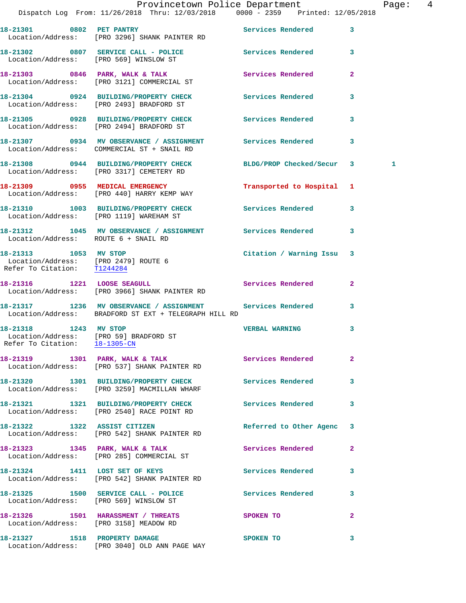|                                                                                                  | Provincetown Police Department<br>Dispatch Log From: 11/26/2018 Thru: 12/03/2018 0000 - 2359 Printed: 12/05/2018    |                           |              | Page: 4      |  |
|--------------------------------------------------------------------------------------------------|---------------------------------------------------------------------------------------------------------------------|---------------------------|--------------|--------------|--|
|                                                                                                  | 18-21301 0802 PET PANTRY<br>Location/Address: [PRO 3296] SHANK PAINTER RD                                           | Services Rendered 3       |              |              |  |
|                                                                                                  | 18-21302 0807 SERVICE CALL - POLICE Services Rendered 3<br>Location/Address: [PRO 569] WINSLOW ST                   |                           |              |              |  |
|                                                                                                  | 18-21303 0846 PARK, WALK & TALK<br>Location/Address: [PRO 3121] COMMERCIAL ST                                       | Services Rendered         | $\mathbf{2}$ |              |  |
|                                                                                                  | 18-21304 0924 BUILDING/PROPERTY CHECK Services Rendered<br>Location/Address: [PRO 2493] BRADFORD ST                 |                           | 3            |              |  |
|                                                                                                  | 18-21305 0928 BUILDING/PROPERTY CHECK Services Rendered 3<br>Location/Address: [PRO 2494] BRADFORD ST               |                           |              |              |  |
|                                                                                                  | 18-21307 0934 MV OBSERVANCE / ASSIGNMENT Services Rendered 3<br>Location/Address: COMMERCIAL ST + SNAIL RD          |                           |              |              |  |
|                                                                                                  | 18-21308 0944 BUILDING/PROPERTY CHECK BLDG/PROP Checked/Secur 3<br>Location/Address: [PRO 3317] CEMETERY RD         |                           |              | $\mathbf{1}$ |  |
|                                                                                                  | 18-21309 0955 MEDICAL EMERGENCY<br>Location/Address: [PRO 440] HARRY KEMP WAY                                       | Transported to Hospital 1 |              |              |  |
|                                                                                                  | 18-21310 1003 BUILDING/PROPERTY CHECK Services Rendered 3<br>Location/Address: [PRO 1119] WAREHAM ST                |                           |              |              |  |
| Location/Address: ROUTE 6 + SNAIL RD                                                             | 18-21312 1045 MV OBSERVANCE / ASSIGNMENT Services Rendered                                                          |                           | 3            |              |  |
| 18-21313 1053 MV STOP<br>Location/Address: [PRO 2479] ROUTE 6<br>Refer To Citation: T1244284     |                                                                                                                     | Citation / Warning Issu 3 |              |              |  |
|                                                                                                  | 18-21316 1221 LOOSE SEAGULL<br>Location/Address: [PRO 3966] SHANK PAINTER RD                                        | Services Rendered         | $\mathbf{2}$ |              |  |
|                                                                                                  | 18-21317 1236 MV OBSERVANCE / ASSIGNMENT Services Rendered<br>Location/Address: BRADFORD ST EXT + TELEGRAPH HILL RD |                           | $\mathbf{3}$ |              |  |
| 18-21318 1243 MV STOP<br>Location/Address: [PRO 59] BRADFORD ST<br>Refer To Citation: 18-1305-CN |                                                                                                                     | <b>VERBAL WARNING</b>     | $\mathbf{3}$ |              |  |
|                                                                                                  | 18-21319 1301 PARK, WALK & TALK 1991 Services Rendered 2<br>Location/Address: [PRO 537] SHANK PAINTER RD            |                           |              |              |  |
|                                                                                                  | 18-21320 1301 BUILDING/PROPERTY CHECK Services Rendered<br>Location/Address: [PRO 3259] MACMILLAN WHARF             |                           | 3            |              |  |
|                                                                                                  | 18-21321 1321 BUILDING/PROPERTY CHECK Services Rendered 3<br>Location/Address: [PRO 2540] RACE POINT RD             |                           |              |              |  |
|                                                                                                  | 18-21322 1322 ASSIST CITIZEN<br>Location/Address: [PRO 542] SHANK PAINTER RD                                        | Referred to Other Agenc 3 |              |              |  |
|                                                                                                  | 18-21323 1345 PARK, WALK & TALK<br>Location/Address: [PRO 285] COMMERCIAL ST                                        | <b>Services Rendered</b>  | $\mathbf{2}$ |              |  |
|                                                                                                  | 18-21324 1411 LOST SET OF KEYS<br>Location/Address: [PRO 542] SHANK PAINTER RD                                      | Services Rendered 3       |              |              |  |
| Location/Address: [PRO 569] WINSLOW ST                                                           | 18-21325 1500 SERVICE CALL - POLICE                                                                                 | Services Rendered         | 3            |              |  |
|                                                                                                  | 18-21326 1501 HARASSMENT / THREATS<br>Location/Address: [PRO 3158] MEADOW RD                                        | SPOKEN TO                 | $\mathbf{2}$ |              |  |
|                                                                                                  | 18-21327 1518 PROPERTY DAMAGE<br>Location/Address: [PRO 3040] OLD ANN PAGE WAY                                      | SPOKEN TO                 | 3            |              |  |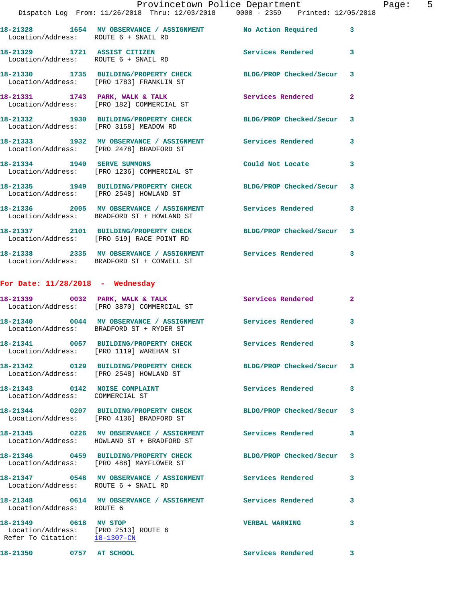|                                                        | Provincetown Police Department<br>Dispatch Log From: 11/26/2018 Thru: 12/03/2018 0000 - 2359 Printed: 12/05/2018 |                          |                |
|--------------------------------------------------------|------------------------------------------------------------------------------------------------------------------|--------------------------|----------------|
|                                                        | 18-21328 1654 MV OBSERVANCE / ASSIGNMENT No Action Required<br>Location/Address: ROUTE 6 + SNAIL RD              |                          | 3              |
|                                                        | 18-21329 1721 ASSIST CITIZEN<br>Location/Address: ROUTE 6 + SNAIL RD                                             | Services Rendered        | 3              |
|                                                        | 18-21330 1735 BUILDING/PROPERTY CHECK BLDG/PROP Checked/Secur<br>Location/Address: [PRO 1783] FRANKLIN ST        |                          | 3              |
|                                                        | 18-21331 1743 PARK, WALK & TALK<br>Location/Address: [PRO 182] COMMERCIAL ST                                     | Services Rendered        | $\overline{a}$ |
|                                                        | 18-21332 1930 BUILDING/PROPERTY CHECK BLDG/PROP Checked/Secur<br>Location/Address: [PRO 3158] MEADOW RD          |                          | 3              |
|                                                        | 18-21333 1932 MV OBSERVANCE / ASSIGNMENT Services Rendered<br>Location/Address: [PRO 2478] BRADFORD ST           |                          | 3              |
|                                                        | 18-21334 1940 SERVE SUMMONS<br>Location/Address: [PRO 1236] COMMERCIAL ST                                        | Could Not Locate         | 3              |
|                                                        | 18-21335 1949 BUILDING/PROPERTY CHECK BLDG/PROP Checked/Secur<br>Location/Address: [PRO 2548] HOWLAND ST         |                          | 3              |
|                                                        | 18-21336 2005 MV OBSERVANCE / ASSIGNMENT Services Rendered<br>Location/Address: BRADFORD ST + HOWLAND ST         |                          | 3              |
|                                                        | 18-21337 2101 BUILDING/PROPERTY CHECK BLDG/PROP Checked/Secur 3<br>Location/Address: [PRO 519] RACE POINT RD     |                          |                |
|                                                        | 18-21338  2335 MV OBSERVANCE / ASSIGNMENT Services Rendered<br>Location/Address: BRADFORD ST + CONWELL ST        |                          | 3              |
| For Date: $11/28/2018$ - Wednesday                     |                                                                                                                  |                          |                |
|                                                        | 18-21339 0032 PARK, WALK & TALK<br>Location/Address: [PRO 3870] COMMERCIAL ST                                    | Services Rendered        | $\overline{2}$ |
|                                                        | 18-21340 0044 MV OBSERVANCE / ASSIGNMENT Services Rendered<br>Location/Address: BRADFORD ST + RYDER ST           |                          | 3              |
|                                                        | 18-21341 0057 BUILDING/PROPERTY CHECK Services Rendered<br>Location/Address: [PRO 1119] WAREHAM ST               |                          | 3              |
|                                                        | 18-21342 0129 BUILDING/PROPERTY CHECK<br>Location/Address: [PRO 2548] HOWLAND ST                                 | BLDG/PROP Checked/Secur  | 3              |
| Location/Address: COMMERCIAL ST                        | 18-21343 0142 NOISE COMPLAINT                                                                                    | Services Rendered        | 3              |
|                                                        | 18-21344 0207 BUILDING/PROPERTY CHECK BLDG/PROP Checked/Secur<br>Location/Address: [PRO 4136] BRADFORD ST        |                          | 3              |
|                                                        | 18-21345 0226 MV OBSERVANCE / ASSIGNMENT Services Rendered<br>Location/Address: HOWLAND ST + BRADFORD ST         |                          | 3              |
|                                                        | 18-21346 0459 BUILDING/PROPERTY CHECK BLDG/PROP Checked/Secur<br>Location/Address: [PRO 488] MAYFLOWER ST        |                          | 3              |
|                                                        | 18-21347 0548 MV OBSERVANCE / ASSIGNMENT Services Rendered<br>Location/Address: ROUTE 6 + SNAIL RD               |                          | 3              |
| Location/Address: ROUTE 6                              | 18-21348 0614 MV OBSERVANCE / ASSIGNMENT Services Rendered                                                       |                          | 3              |
| 18-21349 0618 MV STOP<br>Refer To Citation: 18-1307-CN | Location/Address: [PRO 2513] ROUTE 6                                                                             | <b>VERBAL WARNING</b>    | 3              |
| 18-21350 0757 AT SCHOOL                                |                                                                                                                  | <b>Services Rendered</b> | 3              |

Page: 5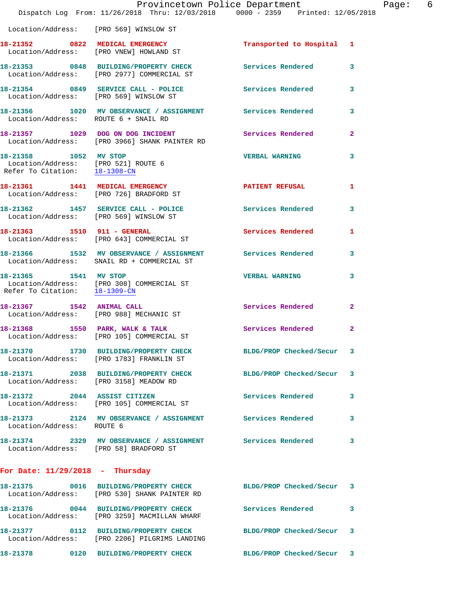|                                                                                               | Provincetown Police Department<br>Dispatch Log From: 11/26/2018 Thru: 12/03/2018 0000 - 2359 Printed: 12/05/2018 |                           |              | Page: 6 |  |
|-----------------------------------------------------------------------------------------------|------------------------------------------------------------------------------------------------------------------|---------------------------|--------------|---------|--|
|                                                                                               | Location/Address: [PRO 569] WINSLOW ST                                                                           |                           |              |         |  |
|                                                                                               | 18-21352 0822 MEDICAL EMERGENCY<br>Location/Address: [PRO VNEW] HOWLAND ST                                       | Transported to Hospital 1 |              |         |  |
|                                                                                               | 18-21353 0848 BUILDING/PROPERTY CHECK Services Rendered 3<br>Location/Address: [PRO 2977] COMMERCIAL ST          |                           |              |         |  |
|                                                                                               | 18-21354 0849 SERVICE CALL - POLICE Services Rendered 3<br>Location/Address: [PRO 569] WINSLOW ST                |                           |              |         |  |
| Location/Address: ROUTE 6 + SNAIL RD                                                          | 18-21356 1020 MV OBSERVANCE / ASSIGNMENT Services Rendered                                                       |                           | $\mathbf{3}$ |         |  |
|                                                                                               | 18-21357 1029 DOG ON DOG INCIDENT Services Rendered 2<br>Location/Address: [PRO 3966] SHANK PAINTER RD           |                           |              |         |  |
| 18-21358 1052 MV STOP<br>Location/Address: [PRO 521] ROUTE 6<br>Refer To Citation: 18-1308-CM |                                                                                                                  | <b>VERBAL WARNING</b>     | 3            |         |  |
|                                                                                               | 18-21361 1441 MEDICAL EMERGENCY 1 PATIENT REFUSAL 1<br>Location/Address: [PRO 726] BRADFORD ST                   |                           |              |         |  |
|                                                                                               | 18-21362 1457 SERVICE CALL - POLICE Services Rendered 3<br>Location/Address: [PRO 569] WINSLOW ST                |                           |              |         |  |
|                                                                                               | 18-21363 1510 911 - GENERAL<br>Location/Address: [PRO 643] COMMERCIAL ST                                         | Services Rendered 1       |              |         |  |
|                                                                                               | 18-21366 1532 MV OBSERVANCE / ASSIGNMENT Services Rendered 3<br>Location/Address: SNAIL RD + COMMERCIAL ST       |                           |              |         |  |
| 18-21365 1541 MV STOP<br>Refer To Citation: $18-1309$ -CN                                     | Location/Address: [PRO 308] COMMERCIAL ST                                                                        | <b>VERBAL WARNING</b>     | 3            |         |  |
|                                                                                               | 18-21367 1542 ANIMAL CALL<br>Location/Address: [PRO 988] MECHANIC ST                                             | Services Rendered 2       |              |         |  |
|                                                                                               | 18-21368 1550 PARK, WALK & TALK 1999 Services Rendered<br>Location/Address: [PRO 105] COMMERCIAL ST              |                           | -2           |         |  |
|                                                                                               | 18-21370 1730 BUILDING/PROPERTY CHECK<br>Location/Address: [PRO 1783] FRANKLIN ST                                | BLDG/PROP Checked/Secur 3 |              |         |  |
|                                                                                               | 18-21371 2038 BUILDING/PROPERTY CHECK BLDG/PROP Checked/Secur 3<br>Location/Address: [PRO 3158] MEADOW RD        |                           |              |         |  |
|                                                                                               | 18-21372 2044 ASSIST CITIZEN<br>Location/Address: [PRO 105] COMMERCIAL ST                                        | Services Rendered         | 3            |         |  |
| Location/Address: ROUTE 6                                                                     | 18-21373 2124 MV OBSERVANCE / ASSIGNMENT Services Rendered                                                       |                           | 3            |         |  |
| Location/Address: [PRO 58] BRADFORD ST                                                        | 18-21374 2329 MV OBSERVANCE / ASSIGNMENT Services Rendered                                                       |                           | 3            |         |  |
| For Date: $11/29/2018$ - Thursday                                                             |                                                                                                                  |                           |              |         |  |
|                                                                                               | 18-21375 0016 BUILDING/PROPERTY CHECK BLDG/PROP Checked/Secur 3<br>Location/Address: [PRO 530] SHANK PAINTER RD  |                           |              |         |  |
|                                                                                               | 18-21376 0044 BUILDING/PROPERTY CHECK Services Rendered<br>Location/Address: [PRO 3259] MACMILLAN WHARF          |                           | 3            |         |  |
|                                                                                               | 18-21377 0112 BUILDING/PROPERTY CHECK BLDG/PROP Checked/Secur 3<br>Location/Address: [PRO 2206] PILGRIMS LANDING |                           |              |         |  |
|                                                                                               | 18-21378 0120 BUILDING/PROPERTY CHECK BLDG/PROP Checked/Secur 3                                                  |                           |              |         |  |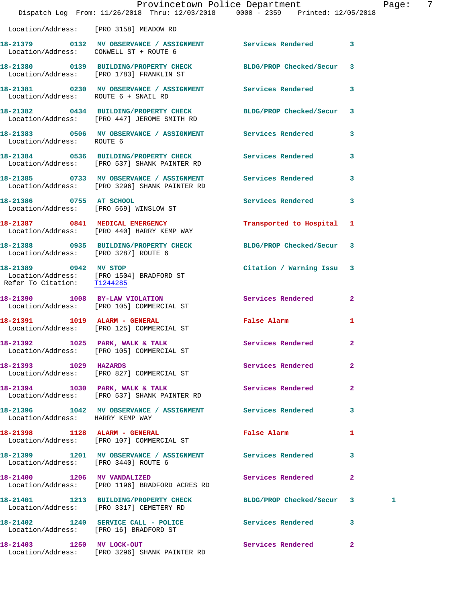|                                        | Provincetown Police Department<br>Dispatch Log From: 11/26/2018 Thru: 12/03/2018 0000 - 2359 Printed: 12/05/2018 |                           | Pag            |
|----------------------------------------|------------------------------------------------------------------------------------------------------------------|---------------------------|----------------|
|                                        | Location/Address: [PRO 3158] MEADOW RD                                                                           |                           |                |
| Location/Address: CONWELL ST + ROUTE 6 | 18-21379 0132 MV OBSERVANCE / ASSIGNMENT Services Rendered                                                       |                           | 3              |
|                                        | 18-21380 0139 BUILDING/PROPERTY CHECK BLDG/PROP Checked/Secur 3<br>Location/Address: [PRO 1783] FRANKLIN ST      |                           |                |
| Location/Address: ROUTE 6 + SNAIL RD   | 18-21381 0230 MV OBSERVANCE / ASSIGNMENT Services Rendered                                                       |                           | 3              |
|                                        | 18-21382 0434 BUILDING/PROPERTY CHECK BLDG/PROP Checked/Secur 3<br>Location/Address: [PRO 447] JEROME SMITH RD   |                           |                |
| Location/Address: ROUTE 6              | 18-21383 0506 MV OBSERVANCE / ASSIGNMENT Services Rendered                                                       |                           | 3              |
|                                        | 18-21384 0536 BUILDING/PROPERTY CHECK Services Rendered<br>Location/Address: [PRO 537] SHANK PAINTER RD          |                           | 3              |
|                                        | 18-21385 0733 MV OBSERVANCE / ASSIGNMENT Services Rendered<br>Location/Address: [PRO 3296] SHANK PAINTER RD      |                           | 3              |
| 18-21386 0755 AT SCHOOL                | Location/Address: [PRO 569] WINSLOW ST                                                                           | Services Rendered         | 3              |
|                                        | 18-21387 0841 MEDICAL EMERGENCY<br>Location/Address: [PRO 440] HARRY KEMP WAY                                    | Transported to Hospital   | 1              |
| Location/Address: [PRO 3287] ROUTE 6   | 18-21388 0935 BUILDING/PROPERTY CHECK BLDG/PROP Checked/Secur                                                    |                           | 3              |
| 18-21389 0942 MV STOP                  | Location/Address: [PRO 1504] BRADFORD ST<br>Refer To Citation: T1244285                                          | Citation / Warning Issu 3 |                |
|                                        | 18-21390 1008 BY-LAW VIOLATION<br>Location/Address: [PRO 105] COMMERCIAL ST                                      | Services Rendered         | $\mathbf{2}$   |
|                                        | 18-21391    1019    ALARM - GENERAL<br>Location/Address: [PRO 125] COMMERCIAL ST                                 | False Alarm               | 1              |
|                                        | 18-21392 1025 PARK, WALK & TALK<br>Location/Address: [PRO 105] COMMERCIAL ST                                     | Services Rendered         | 2              |
| 18-21393 1029 HAZARDS                  | Location/Address: [PRO 827] COMMERCIAL ST                                                                        | Services Rendered         | $\overline{a}$ |
|                                        | 18-21394 1030 PARK, WALK & TALK<br>Location/Address: [PRO 537] SHANK PAINTER RD                                  | Services Rendered         | $\mathbf{2}$   |
| Location/Address: HARRY KEMP WAY       | 18-21396 1042 MV OBSERVANCE / ASSIGNMENT Services Rendered                                                       |                           | 3              |
|                                        | 18-21398 1128 ALARM - GENERAL<br>Location/Address: [PRO 107] COMMERCIAL ST                                       | False Alarm               | 1              |
| Location/Address: [PRO 3440] ROUTE 6   | 18-21399 1201 MV OBSERVANCE / ASSIGNMENT Services Rendered                                                       |                           | 3              |
|                                        | 18-21400 1206 MV VANDALIZED<br>Location/Address: [PRO 1196] BRADFORD ACRES RD                                    | Services Rendered         | 2              |
|                                        | 18-21401 1213 BUILDING/PROPERTY CHECK<br>Location/Address: [PRO 3317] CEMETERY RD                                | BLDG/PROP Checked/Secur   | 3<br>1         |
| Location/Address: [PRO 16] BRADFORD ST | 18-21402 1240 SERVICE CALL - POLICE Services Rendered                                                            |                           | 3              |
| 18-21403 1250 MV LOCK-OUT              |                                                                                                                  | Services Rendered         | $\mathbf{2}$   |

Location/Address: [PRO 3296] SHANK PAINTER RD

age: 7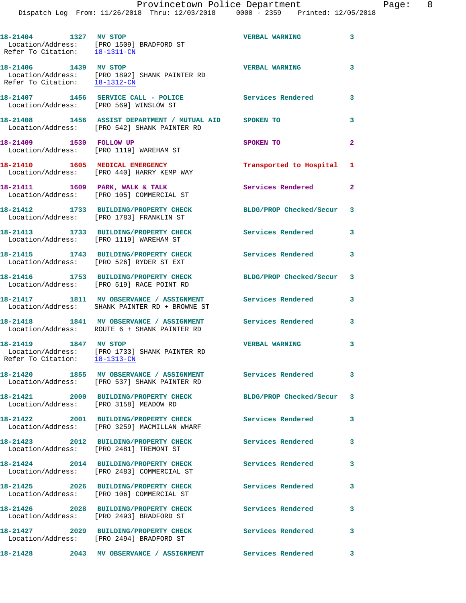| 18-21404 1327 MV STOP<br>Refer To Citation: 18-1311-CN | Location/Address: [PRO 1509] BRADFORD ST                                                                     | <b>VERBAL WARNING</b>     | 3            |
|--------------------------------------------------------|--------------------------------------------------------------------------------------------------------------|---------------------------|--------------|
| 18-21406 1439 MV STOP                                  | Location/Address: [PRO 1892] SHANK PAINTER RD<br>Refer To Citation: $18-1312-CN$                             | <b>VERBAL WARNING</b>     | 3            |
| Location/Address: [PRO 569] WINSLOW ST                 | 18-21407 1456 SERVICE CALL - POLICE                                                                          | Services Rendered         | 3            |
|                                                        | 18-21408 1456 ASSIST DEPARTMENT / MUTUAL AID SPOKEN TO<br>Location/Address: [PRO 542] SHANK PAINTER RD       |                           | 3            |
| 18-21409 1530 FOLLOW UP                                | Location/Address: [PRO 1119] WAREHAM ST                                                                      | SPOKEN TO                 | $\mathbf{2}$ |
|                                                        | 18-21410 1605 MEDICAL EMERGENCY<br>Location/Address: [PRO 440] HARRY KEMP WAY                                | Transported to Hospital 1 |              |
|                                                        | 18-21411 1609 PARK, WALK & TALK<br>Location/Address: [PRO 105] COMMERCIAL ST                                 | <b>Services Rendered</b>  | $\mathbf{2}$ |
|                                                        | 18-21412 1733 BUILDING/PROPERTY CHECK<br>Location/Address: [PRO 1783] FRANKLIN ST                            | BLDG/PROP Checked/Secur 3 |              |
|                                                        | 18-21413 1733 BUILDING/PROPERTY CHECK<br>Location/Address: [PRO 1119] WAREHAM ST                             | <b>Services Rendered</b>  | 3            |
|                                                        | 18-21415 1743 BUILDING/PROPERTY CHECK<br>Location/Address: [PRO 526] RYDER ST EXT                            | Services Rendered         | 3            |
|                                                        | 18-21416 1753 BUILDING/PROPERTY CHECK<br>Location/Address: [PRO 519] RACE POINT RD                           | BLDG/PROP Checked/Secur 3 |              |
|                                                        | 18-21417 1811 MV OBSERVANCE / ASSIGNMENT Services Rendered<br>Location/Address: SHANK PAINTER RD + BROWNE ST |                           | 3            |
|                                                        | 18-21418 1841 MV OBSERVANCE / ASSIGNMENT Services Rendered<br>Location/Address: ROUTE 6 + SHANK PAINTER RD   |                           | 3            |
| 18-21419 1847 MV STOP<br>Refer To Citation: 18-1313-CN | Location/Address: [PRO 1733] SHANK PAINTER RD                                                                | <b>VERBAL WARNING</b>     | 3            |
|                                                        | 18-21420 1855 MV OBSERVANCE / ASSIGNMENT<br>Location/Address: [PRO 537] SHANK PAINTER RD                     | Services Rendered         | 3            |
|                                                        | 18-21421 2000 BUILDING/PROPERTY CHECK<br>Location/Address: [PRO 3158] MEADOW RD                              | BLDG/PROP Checked/Secur 3 |              |
|                                                        | 18-21422 2001 BUILDING/PROPERTY CHECK<br>Location/Address: [PRO 3259] MACMILLAN WHARF                        | <b>Services Rendered</b>  | 3            |
|                                                        | 18-21423 2012 BUILDING/PROPERTY CHECK<br>Location/Address: [PRO 2481] TREMONT ST                             | Services Rendered         | 3            |
|                                                        | 18-21424 2014 BUILDING/PROPERTY CHECK<br>Location/Address: [PRO 2483] COMMERCIAL ST                          | Services Rendered         | 3            |
| 18-21425                                               | 2026 BUILDING/PROPERTY CHECK<br>Location/Address: [PRO 106] COMMERCIAL ST                                    | Services Rendered         | 3            |
|                                                        | 18-21426 2028 BUILDING/PROPERTY CHECK<br>Location/Address: [PRO 2493] BRADFORD ST                            | Services Rendered         | 3            |
|                                                        | 18-21427 2029 BUILDING/PROPERTY CHECK<br>Location/Address: [PRO 2494] BRADFORD ST                            | Services Rendered         | 3            |
| 18-21428                                               | 2043 MV OBSERVANCE / ASSIGNMENT                                                                              | Services Rendered         | 3            |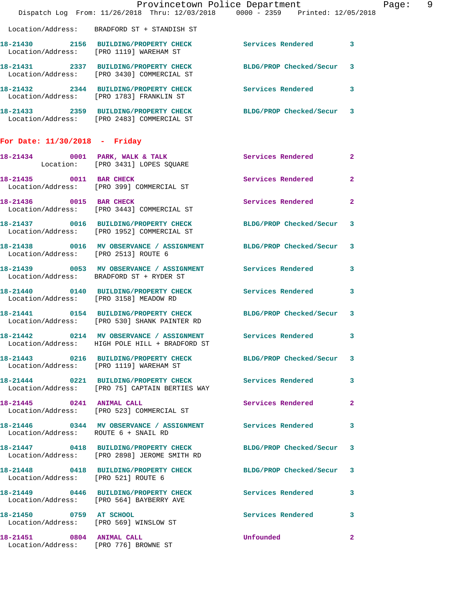|                                      |                                                                                                                 | Provincetown Police Department | Page: 9        |
|--------------------------------------|-----------------------------------------------------------------------------------------------------------------|--------------------------------|----------------|
|                                      | Dispatch Log From: 11/26/2018 Thru: 12/03/2018 0000 - 2359 Printed: 12/05/2018                                  |                                |                |
|                                      | Location/Address: BRADFORD ST + STANDISH ST                                                                     |                                |                |
|                                      | 18-21430 2156 BUILDING/PROPERTY CHECK Services Rendered 3<br>Location/Address: [PRO 1119] WAREHAM ST            |                                |                |
|                                      | 18-21431 2337 BUILDING/PROPERTY CHECK BLDG/PROP Checked/Secur 3<br>Location/Address: [PRO 3430] COMMERCIAL ST   |                                |                |
|                                      | 18-21432 2344 BUILDING/PROPERTY CHECK Services Rendered 3<br>Location/Address: [PRO 1783] FRANKLIN ST           |                                |                |
|                                      | 18-21433 2359 BUILDING/PROPERTY CHECK BLDG/PROP Checked/Secur 3<br>Location/Address: [PRO 2483] COMMERCIAL ST   |                                |                |
| For Date: $11/30/2018$ - Friday      |                                                                                                                 |                                |                |
|                                      | 18-21434 0001 PARK, WALK & TALK<br>Location: [PRO 3431] LOPES SQUARE                                            | Services Rendered 2            |                |
|                                      | 18-21435 0011 BAR CHECK<br>Location/Address: [PRO 399] COMMERCIAL ST                                            | Services Rendered 2            |                |
|                                      | 18-21436 0015 BAR CHECK<br>Location/Address: [PRO 3443] COMMERCIAL ST                                           | Services Rendered              | $\overline{2}$ |
|                                      | 18-21437 0016 BUILDING/PROPERTY CHECK BLDG/PROP Checked/Secur 3<br>Location/Address: [PRO 1952] COMMERCIAL ST   |                                |                |
|                                      | 18-21438 0016 MV OBSERVANCE / ASSIGNMENT BLDG/PROP Checked/Secur 3<br>Location/Address: [PRO 2513] ROUTE 6      |                                |                |
|                                      | 18-21439 0053 MV OBSERVANCE / ASSIGNMENT Services Rendered 3<br>Location/Address: BRADFORD ST + RYDER ST        |                                |                |
|                                      | 18-21440 0140 BUILDING/PROPERTY CHECK Services Rendered 3<br>Location/Address: [PRO 3158] MEADOW RD             |                                |                |
|                                      | 18-21441 0154 BUILDING/PROPERTY CHECK BLDG/PROP Checked/Secur 3<br>Location/Address: [PRO 530] SHANK PAINTER RD |                                |                |
|                                      | 18-21442 0214 MV OBSERVANCE / ASSIGNMENT Services Rendered 3<br>Location/Address: HIGH POLE HILL + BRADFORD ST  |                                |                |
|                                      | 18-21443 0216 BUILDING/PROPERTY CHECK BLDG/PROP Checked/Secur 3<br>Location/Address: [PRO 1119] WAREHAM ST      |                                |                |
|                                      | 18-21444 0221 BUILDING/PROPERTY CHECK Services Rendered 3<br>Location/Address: [PRO 75] CAPTAIN BERTIES WAY     |                                |                |
|                                      | 18-21445 0241 ANIMAL CALL<br>Location/Address: [PRO 523] COMMERCIAL ST                                          | Services Rendered 2            |                |
| Location/Address: ROUTE 6 + SNAIL RD | 18-21446  0344 MV OBSERVANCE / ASSIGNMENT Services Rendered                                                     |                                | 3              |
|                                      | 18-21447 0418 BUILDING/PROPERTY CHECK BLDG/PROP Checked/Secur 3<br>Location/Address: [PRO 2898] JEROME SMITH RD |                                |                |
| Location/Address: [PRO 521] ROUTE 6  | 18-21448 0418 BUILDING/PROPERTY CHECK BLDG/PROP Checked/Secur 3                                                 |                                |                |
|                                      | 18-21449 0446 BUILDING/PROPERTY CHECK Services Rendered 3<br>Location/Address: [PRO 564] BAYBERRY AVE           |                                |                |
|                                      | 18-21450 0759 AT SCHOOL<br>Location/Address: [PRO 569] WINSLOW ST                                               | Services Rendered 3            |                |
| 18-21451 0804 ANIMAL CALL            | Location/Address: [PRO 776] BROWNE ST                                                                           | <b>Unfounded</b>               | $\mathbf{2}$   |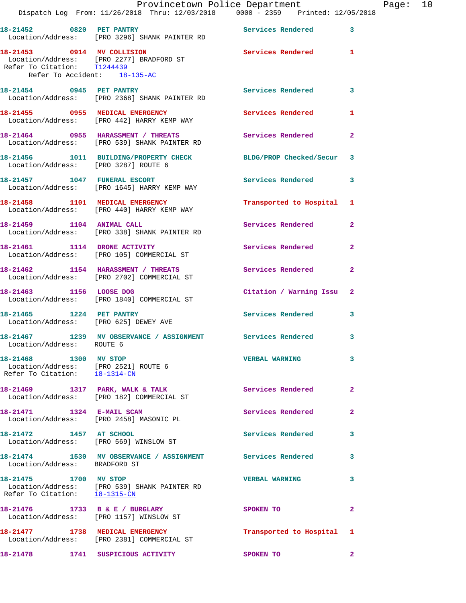|                                                                                                | Dispatch Log From: 11/26/2018 Thru: 12/03/2018 0000 - 2359 Printed: 12/05/2018                       | Provincetown Police Department |                         | Page: 10 |  |
|------------------------------------------------------------------------------------------------|------------------------------------------------------------------------------------------------------|--------------------------------|-------------------------|----------|--|
|                                                                                                | 18-21452 0820 PET PANTRY<br>Location/Address: [PRO 3296] SHANK PAINTER RD                            | Services Rendered 3            |                         |          |  |
| Refer To Citation: T1244439<br>Refer To Accident: 18-135-AC                                    | 18-21453 0914 MV COLLISION<br>Location/Address: [PRO 2277] BRADFORD ST                               | Services Rendered 1            |                         |          |  |
|                                                                                                | 18-21454 0945 PET PANTRY<br>Location/Address: [PRO 2368] SHANK PAINTER RD                            | Services Rendered 3            |                         |          |  |
|                                                                                                | 18-21455 0955 MEDICAL EMERGENCY<br>Location/Address: [PRO 442] HARRY KEMP WAY                        | <b>Services Rendered</b>       | $\mathbf{1}$            |          |  |
|                                                                                                | 18-21464 0955 HARASSMENT / THREATS Services Rendered<br>Location/Address: [PRO 539] SHANK PAINTER RD |                                | $\mathbf{2}$            |          |  |
| Location/Address: [PRO 3287] ROUTE 6                                                           | 18-21456 1011 BUILDING/PROPERTY CHECK BLDG/PROP Checked/Secur 3                                      |                                |                         |          |  |
|                                                                                                | 18-21457 1047 FUNERAL ESCORT<br>Location/Address: [PRO 1645] HARRY KEMP WAY                          | Services Rendered 3            |                         |          |  |
|                                                                                                | 18-21458 1101 MEDICAL EMERGENCY<br>Location/Address: [PRO 440] HARRY KEMP WAY                        | Transported to Hospital 1      |                         |          |  |
| 18-21459 1104 ANIMAL CALL                                                                      | Location/Address: [PRO 338] SHANK PAINTER RD                                                         | Services Rendered              | $\mathbf{2}$            |          |  |
|                                                                                                | 18-21461 1114 DRONE ACTIVITY<br>Location/Address: [PRO 105] COMMERCIAL ST                            | Services Rendered              | $\mathbf{2}$            |          |  |
|                                                                                                | 18-21462 1154 HARASSMENT / THREATS<br>Location/Address: [PRO 2702] COMMERCIAL ST                     | Services Rendered              | $\mathbf{2}$            |          |  |
|                                                                                                | 18-21463 1156 LOOSE DOG<br>Location/Address: [PRO 1840] COMMERCIAL ST                                | Citation / Warning Issu 2      |                         |          |  |
| Location/Address: [PRO 625] DEWEY AVE                                                          | 18-21465 1224 PET PANTRY                                                                             | Services Rendered              | 3                       |          |  |
| Location/Address: ROUTE 6                                                                      | 18-21467 1239 MV OBSERVANCE / ASSIGNMENT Services Rendered 3                                         |                                |                         |          |  |
| 18-21468 1300 MV STOP<br>Location/Address: [PRO 2521] ROUTE 6<br>Refer To Citation: 18-1314-CN |                                                                                                      | VERBAL WARNING 3               |                         |          |  |
|                                                                                                | 18-21469 1317 PARK, WALK & TALK<br>Location/Address: [PRO 182] COMMERCIAL ST                         | Services Rendered              | $\mathbf{2}$            |          |  |
|                                                                                                | 18-21471 1324 E-MAIL SCAM<br>Location/Address: [PRO 2458] MASONIC PL                                 | Services Rendered              | $\mathbf{2}$            |          |  |
| 18-21472 1457 AT SCHOOL                                                                        | Location/Address: [PRO 569] WINSLOW ST                                                               | Services Rendered              | $\overline{\mathbf{3}}$ |          |  |
| Location/Address: BRADFORD ST                                                                  | 18-21474 1530 MV OBSERVANCE / ASSIGNMENT Services Rendered                                           |                                | $\mathbf{3}$            |          |  |
| 18-21475 1700 MV STOP<br>Refer To Citation: 18-1315-CN                                         | Location/Address: [PRO 539] SHANK PAINTER RD                                                         | <b>VERBAL WARNING</b>          | 3                       |          |  |
|                                                                                                | 18-21476 1733 B & E / BURGLARY<br>Location/Address: [PRO 1157] WINSLOW ST                            | SPOKEN TO                      | $\mathbf{2}$            |          |  |
|                                                                                                | 18-21477 1738 MEDICAL EMERGENCY<br>Location/Address: [PRO 2381] COMMERCIAL ST                        | Transported to Hospital 1      |                         |          |  |
|                                                                                                | 18-21478 1741 SUSPICIOUS ACTIVITY                                                                    | SPOKEN TO                      | $\mathbf{2}$            |          |  |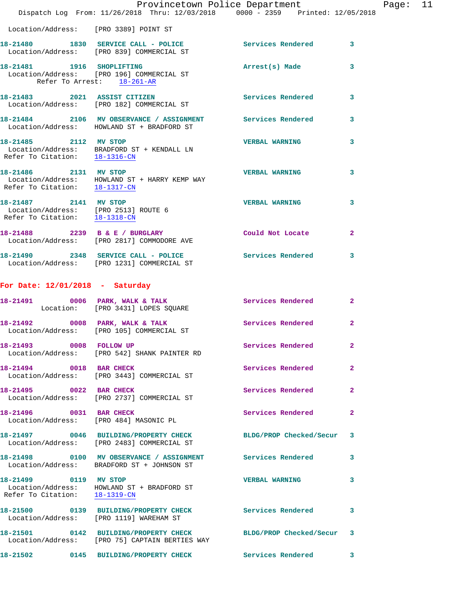|                                                                                                | Provincetown Police Department<br>Dispatch Log From: 11/26/2018 Thru: 12/03/2018 0000 - 2359 Printed: 12/05/2018 |                          |                |
|------------------------------------------------------------------------------------------------|------------------------------------------------------------------------------------------------------------------|--------------------------|----------------|
| Location/Address: [PRO 3389] POINT ST                                                          |                                                                                                                  |                          |                |
|                                                                                                | 18-21480 1830 SERVICE CALL - POLICE<br>Location/Address: [PRO 839] COMMERCIAL ST                                 | Services Rendered        | 3              |
| Refer To Arrest: 18-261-AR                                                                     | 18-21481 1916 SHOPLIFTING<br>Location/Address: [PRO 196] COMMERCIAL ST                                           | Arrest(s) Made           | 3              |
|                                                                                                | 18-21483 2021 ASSIST CITIZEN<br>Location/Address: [PRO 182] COMMERCIAL ST                                        | <b>Services Rendered</b> | 3              |
|                                                                                                | 18-21484 2106 MV OBSERVANCE / ASSIGNMENT Services Rendered<br>Location/Address: HOWLAND ST + BRADFORD ST         |                          | 3              |
| 18-21485 2112 MV STOP                                                                          | Location/Address: BRADFORD ST + KENDALL LN<br>Refer To Citation: 18-1316-CN                                      | <b>VERBAL WARNING</b>    | 3              |
| 18-21486 2131 MV STOP<br>Refer To Citation: 18-1317-CN                                         | Location/Address: HOWLAND ST + HARRY KEMP WAY                                                                    | <b>VERBAL WARNING</b>    | 3              |
| 18-21487 2141 MV STOP<br>Location/Address: [PRO 2513] ROUTE 6<br>Refer To Citation: 18-1318-CM |                                                                                                                  | <b>VERBAL WARNING</b>    | 3              |
|                                                                                                | 18-21488 2239 B & E / BURGLARY<br>Location/Address: [PRO 2817] COMMODORE AVE                                     | Could Not Locate         | $\mathbf{2}$   |
|                                                                                                | 18-21490 2348 SERVICE CALL - POLICE<br>Location/Address: [PRO 1231] COMMERCIAL ST                                | <b>Services Rendered</b> | 3              |
| For Date: $12/01/2018$ - Saturday                                                              |                                                                                                                  |                          |                |
|                                                                                                | 18-21491 0006 PARK, WALK & TALK<br>Location: [PRO 3431] LOPES SQUARE                                             | <b>Services Rendered</b> | $\mathbf{2}$   |
|                                                                                                | 18-21492 0008 PARK, WALK & TALK<br>Location/Address: [PRO 105] COMMERCIAL ST                                     | <b>Services Rendered</b> | $\mathbf{2}$   |
| 18-21493 0008 FOLLOW UP                                                                        | Location/Address: [PRO 542] SHANK PAINTER RD                                                                     | Services Rendered        | $\mathbf{2}$   |
| 18-21494 0018 BAR CHECK                                                                        | Location/Address: [PRO 3443] COMMERCIAL ST                                                                       | Services Rendered        | $\overline{a}$ |
| 18-21495 0022 BAR CHECK                                                                        | Location/Address: [PRO 2737] COMMERCIAL ST                                                                       | Services Rendered        | 2              |
| 18-21496 0031 BAR CHECK                                                                        | Location/Address: [PRO 484] MASONIC PL                                                                           | <b>Services Rendered</b> | $\overline{2}$ |
|                                                                                                | 18-21497 0046 BUILDING/PROPERTY CHECK<br>Location/Address: [PRO 2483] COMMERCIAL ST                              | BLDG/PROP Checked/Secur  | 3              |
|                                                                                                | 18-21498   0100 MV OBSERVANCE / ASSIGNMENT   Services Rendered<br>Location/Address: BRADFORD ST + JOHNSON ST     |                          | 3              |
| 18-21499 0119 MV STOP                                                                          | Location/Address: HOWLAND ST + BRADFORD ST<br>Refer To Citation: 18-1319-CN                                      | <b>VERBAL WARNING</b>    | 3              |
| Location/Address: [PRO 1119] WAREHAM ST                                                        |                                                                                                                  | Services Rendered        | 3              |
|                                                                                                | 18-21501 0142 BUILDING/PROPERTY CHECK<br>Location/Address: [PRO 75] CAPTAIN BERTIES WAY                          | BLDG/PROP Checked/Secur  | 3              |
|                                                                                                | 18-21502 0145 BUILDING/PROPERTY CHECK                                                                            | <b>Services Rendered</b> | 3              |

Page: 11<br><sup>18</sup>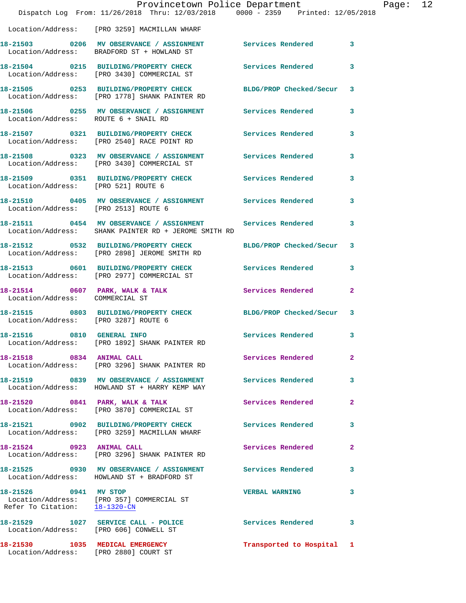|                                                        | Provincetown Police Department<br>Dispatch Log From: 11/26/2018 Thru: 12/03/2018 0000 - 2359 Printed: 12/05/2018      |                           |              | Page: 12 |  |
|--------------------------------------------------------|-----------------------------------------------------------------------------------------------------------------------|---------------------------|--------------|----------|--|
|                                                        | Location/Address: [PRO 3259] MACMILLAN WHARF                                                                          |                           |              |          |  |
|                                                        | 18-21503 0206 MV OBSERVANCE / ASSIGNMENT Services Rendered 3<br>Location/Address: BRADFORD ST + HOWLAND ST            |                           |              |          |  |
|                                                        | 18-21504 0215 BUILDING/PROPERTY CHECK Services Rendered<br>Location/Address: [PRO 3430] COMMERCIAL ST                 |                           | 3            |          |  |
|                                                        | 18-21505 0253 BUILDING/PROPERTY CHECK BLDG/PROP Checked/Secur 3<br>Location/Address: [PRO 1778] SHANK PAINTER RD      |                           |              |          |  |
| Location/Address: ROUTE 6 + SNAIL RD                   | 18-21506 0255 MV OBSERVANCE / ASSIGNMENT Services Rendered                                                            |                           | 3            |          |  |
|                                                        | 18-21507 0321 BUILDING/PROPERTY CHECK Services Rendered<br>Location/Address: [PRO 2540] RACE POINT RD                 |                           | 3            |          |  |
|                                                        | 18-21508     0323   MV OBSERVANCE / ASSIGNMENT       Services Rendered<br>Location/Address:   [PRO 3430]COMMERCIAL ST |                           | 3            |          |  |
|                                                        | 18-21509   0351   BUILDING/PROPERTY CHECK   Services Rendered<br>Location/Address: [PRO 521] ROUTE 6                  |                           | 3            |          |  |
|                                                        | 18-21510  0405 MV OBSERVANCE / ASSIGNMENT  Services Rendered<br>Location/Address: [PRO 2513] ROUTE 6                  |                           | $\mathbf{3}$ |          |  |
|                                                        | 18-21511 0454 MV OBSERVANCE / ASSIGNMENT Services Rendered<br>Location/Address: SHANK PAINTER RD + JEROME SMITH RD    |                           | 3            |          |  |
|                                                        | 18-21512 0532 BUILDING/PROPERTY CHECK<br>Location/Address: [PRO 2898] JEROME SMITH RD                                 | BLDG/PROP Checked/Secur 3 |              |          |  |
|                                                        | 18-21513 0601 BUILDING/PROPERTY CHECK Services Rendered<br>Location/Address: [PRO 2977] COMMERCIAL ST                 |                           | 3            |          |  |
| Location/Address: COMMERCIAL ST                        | 18-21514 0607 PARK, WALK & TALK 30 Services Rendered                                                                  |                           | $\mathbf{2}$ |          |  |
| Location/Address: [PRO 3287] ROUTE 6                   | 18-21515 0803 BUILDING/PROPERTY CHECK BLDG/PROP Checked/Secur 3                                                       |                           |              |          |  |
| 18-21516 0810 GENERAL INFO                             | Location/Address: [PRO 1892] SHANK PAINTER RD                                                                         | Services Rendered 3       |              |          |  |
| 18-21518 0834 ANIMAL CALL                              | Location/Address: [PRO 3296] SHANK PAINTER RD                                                                         | Services Rendered         | 2            |          |  |
|                                                        | 18-21519 0839 MV OBSERVANCE / ASSIGNMENT Services Rendered<br>Location/Address: HOWLAND ST + HARRY KEMP WAY           |                           | 3            |          |  |
|                                                        | 18-21520 0841 PARK, WALK & TALK<br>Location/Address: [PRO 3870] COMMERCIAL ST                                         | Services Rendered         | $\mathbf{2}$ |          |  |
|                                                        | 18-21521   0902   BUILDING/PROPERTY CHECK   Services Rendered<br>Location/Address: [PRO 3259] MACMILLAN WHARF         |                           | 3            |          |  |
| 18-21524 0923 ANIMAL CALL                              | Location/Address: [PRO 3296] SHANK PAINTER RD                                                                         | Services Rendered         | $\mathbf{2}$ |          |  |
|                                                        | Location/Address: HOWLAND ST + BRADFORD ST                                                                            |                           |              |          |  |
| 18-21526 0941 MV STOP<br>Refer To Citation: 18-1320-CN | Location/Address: [PRO 357] COMMERCIAL ST                                                                             | <b>VERBAL WARNING</b>     | 3            |          |  |
|                                                        | 18-21529 1027 SERVICE CALL - POLICE Services Rendered<br>Location/Address: [PRO 606] CONWELL ST                       |                           | 3            |          |  |
|                                                        | 18-21530 1035 MEDICAL EMERGENCY<br>Location/Address: [PRO 2880] COURT ST                                              | Transported to Hospital 1 |              |          |  |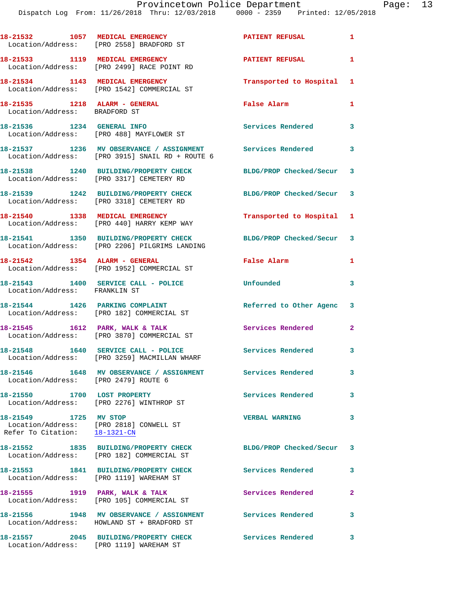|                                                                | 18-21532 1057 MEDICAL EMERGENCY<br>Location/Address: [PRO 2558] BRADFORD ST                              | <b>PATIENT REFUSAL</b>    | $\mathbf{1}$            |
|----------------------------------------------------------------|----------------------------------------------------------------------------------------------------------|---------------------------|-------------------------|
|                                                                | 18-21533 1119 MEDICAL EMERGENCY<br>Location/Address: [PRO 2499] RACE POINT RD                            | <b>PATIENT REFUSAL</b>    | $\mathbf{1}$            |
|                                                                | 18-21534 1143 MEDICAL EMERGENCY<br>Location/Address: [PRO 1542] COMMERCIAL ST                            | Transported to Hospital 1 |                         |
| 18-21535 1218 ALARM - GENERAL<br>Location/Address: BRADFORD ST |                                                                                                          | False Alarm               | $\mathbf{1}$            |
|                                                                | 18-21536 1234 GENERAL INFO<br>Location/Address: [PRO 488] MAYFLOWER ST                                   | Services Rendered         | 3                       |
|                                                                | 18-21537 1236 MV OBSERVANCE / ASSIGNMENT<br>Location/Address: [PRO 3915] SNAIL RD + ROUTE 6              | Services Rendered         | $\overline{\mathbf{3}}$ |
|                                                                | 18-21538 1240 BUILDING/PROPERTY CHECK<br>Location/Address: [PRO 3317] CEMETERY RD                        | BLDG/PROP Checked/Secur 3 |                         |
|                                                                | 18-21539 1242 BUILDING/PROPERTY CHECK<br>Location/Address: [PRO 3318] CEMETERY RD                        | BLDG/PROP Checked/Secur 3 |                         |
|                                                                | 18-21540 1338 MEDICAL EMERGENCY<br>Location/Address: [PRO 440] HARRY KEMP WAY                            | Transported to Hospital 1 |                         |
|                                                                | 18-21541 1350 BUILDING/PROPERTY CHECK<br>Location/Address: [PRO 2206] PILGRIMS LANDING                   | BLDG/PROP Checked/Secur 3 |                         |
|                                                                | 18-21542 1354 ALARM - GENERAL<br>Location/Address: [PRO 1952] COMMERCIAL ST                              | False Alarm               | $\mathbf{1}$            |
| Location/Address: FRANKLIN ST                                  | 18-21543 1400 SERVICE CALL - POLICE                                                                      | Unfounded                 | 3                       |
|                                                                | 18-21544 1426 PARKING COMPLAINT<br>Location/Address: [PRO 182] COMMERCIAL ST                             | Referred to Other Agenc 3 |                         |
|                                                                | 18-21545 1612 PARK, WALK & TALK<br>Location/Address: [PRO 3870] COMMERCIAL ST                            | Services Rendered         | $\mathbf{2}$            |
|                                                                | 18-21548 1640 SERVICE CALL - POLICE<br>Location/Address: [PRO 3259] MACMILLAN WHARF                      | Services Rendered         | $\overline{\mathbf{3}}$ |
| Location/Address: [PRO 2479] ROUTE 6                           | 18-21546  1648 MV OBSERVANCE / ASSIGNMENT  Services Rendered                                             |                           | 3                       |
|                                                                | 18-21550 1700 LOST PROPERTY<br>Location/Address: [PRO 2276] WINTHROP ST                                  | Services Rendered         | 3                       |
| 18-21549 1725 MV STOP<br>Refer To Citation: 18-1321-CN         | Location/Address: [PRO 2818] CONWELL ST                                                                  | <b>VERBAL WARNING</b>     | 3                       |
|                                                                | 18-21552 1835 BUILDING/PROPERTY CHECK<br>Location/Address: [PRO 182] COMMERCIAL ST                       | BLDG/PROP Checked/Secur 3 |                         |
|                                                                | 18-21553 1841 BUILDING/PROPERTY CHECK<br>Location/Address: [PRO 1119] WAREHAM ST                         | <b>Services Rendered</b>  | 3                       |
|                                                                | 18-21555 1919 PARK, WALK & TALK<br>Location/Address: [PRO 105] COMMERCIAL ST                             | Services Rendered         | $\mathbf{2}$            |
|                                                                | 18-21556 1948 MV OBSERVANCE / ASSIGNMENT Services Rendered<br>Location/Address: HOWLAND ST + BRADFORD ST |                           | 3                       |
|                                                                | 18-21557 2045 BUILDING/PROPERTY CHECK<br>Location/Address: [PRO 1119] WAREHAM ST                         | Services Rendered         | 3                       |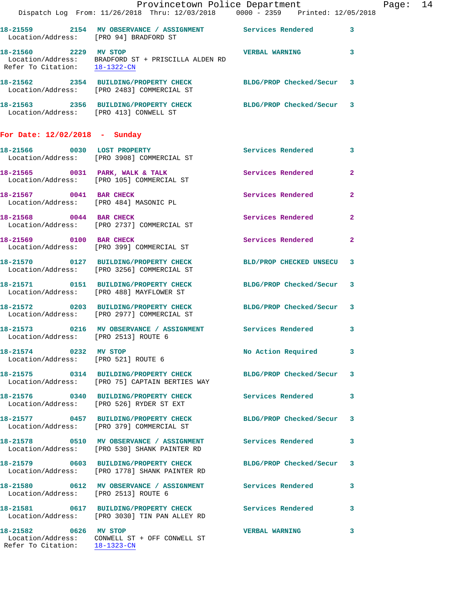|                                                        | Dispatch Log From: 11/26/2018 Thru: 12/03/2018 0000 - 2359 Printed: 12/05/2018                                                    | Provincetown Police Department |              | Page: 14 |  |
|--------------------------------------------------------|-----------------------------------------------------------------------------------------------------------------------------------|--------------------------------|--------------|----------|--|
|                                                        | 18-21559 2154 MV OBSERVANCE / ASSIGNMENT Services Rendered 3<br>Location/Address: [PRO 94] BRADFORD ST                            |                                |              |          |  |
|                                                        | 18-21560 2229 MV STOP<br>Location/Address: BRADFORD ST + PRISCILLA ALDEN RD<br>Refer To Citation: $\frac{18-1322-CN}{18-1322-CN}$ | <b>VERBAL WARNING</b> 3        |              |          |  |
|                                                        | 18-21562 2354 BUILDING/PROPERTY CHECK BLDG/PROP Checked/Secur 3<br>Location/Address: [PRO 2483] COMMERCIAL ST                     |                                |              |          |  |
|                                                        | 18-21563 2356 BUILDING/PROPERTY CHECK BLDG/PROP Checked/Secur 3<br>Location/Address: [PRO 413] CONWELL ST                         |                                |              |          |  |
| For Date: 12/02/2018 - Sunday                          |                                                                                                                                   |                                |              |          |  |
|                                                        | 18-21566 0030 LOST PROPERTY<br>Location/Address: [PRO 3908] COMMERCIAL ST                                                         | Services Rendered 3            |              |          |  |
|                                                        | 18-21565 0031 PARK, WALK & TALK Services Rendered 2<br>Location/Address: [PRO 105] COMMERCIAL ST                                  |                                |              |          |  |
|                                                        | 18-21567 0041 BAR CHECK<br>Location/Address: [PRO 484] MASONIC PL                                                                 | Services Rendered 2            |              |          |  |
|                                                        | 18-21568 0044 BAR CHECK<br>Location/Address: [PRO 2737] COMMERCIAL ST                                                             | Services Rendered 2            |              |          |  |
|                                                        | 18-21569 0100 BAR CHECK<br>Location/Address: [PRO 399] COMMERCIAL ST                                                              | <b>Services Rendered</b>       | $\mathbf{2}$ |          |  |
|                                                        | 18-21570 0127 BUILDING/PROPERTY CHECK BLD/PROP CHECKED UNSECU 3<br>Location/Address: [PRO 3256] COMMERCIAL ST                     |                                |              |          |  |
|                                                        | 18-21571   0151   BUILDING/PROPERTY CHECK   BLDG/PROP Checked/Secur   3<br>Location/Address: [PRO 488] MAYFLOWER ST               |                                |              |          |  |
|                                                        | 18-21572 0203 BUILDING/PROPERTY CHECK BLDG/PROP Checked/Secur 3<br>Location/Address: [PRO 2977] COMMERCIAL ST                     |                                |              |          |  |
| Location/Address: [PRO 2513] ROUTE 6                   | 18-21573 0216 MV OBSERVANCE / ASSIGNMENT Services Rendered 3                                                                      |                                |              |          |  |
|                                                        | 18-21574 0232 MV STOP<br>Location/Address: [PRO 521] ROUTE 6                                                                      | No Action Required 3           |              |          |  |
|                                                        | 18-21575 0314 BUILDING/PROPERTY CHECK BLDG/PROP Checked/Secur 3<br>Location/Address: [PRO 75] CAPTAIN BERTIES WAY                 |                                |              |          |  |
|                                                        | 18-21576 0340 BUILDING/PROPERTY CHECK Services Rendered 3<br>Location/Address: [PRO 526] RYDER ST EXT                             |                                |              |          |  |
|                                                        | 18-21577 0457 BUILDING/PROPERTY CHECK<br>Location/Address: [PRO 379] COMMERCIAL ST                                                | BLDG/PROP Checked/Secur 3      |              |          |  |
|                                                        | 18-21578 0510 MV OBSERVANCE / ASSIGNMENT Services Rendered 3<br>Location/Address: [PRO 530] SHANK PAINTER RD                      |                                |              |          |  |
|                                                        | 18-21579 0603 BUILDING/PROPERTY CHECK<br>Location/Address: [PRO 1778] SHANK PAINTER RD                                            | BLDG/PROP Checked/Secur 3      |              |          |  |
| Location/Address: [PRO 2513] ROUTE 6                   | 18-21580 0612 MV OBSERVANCE / ASSIGNMENT Services Rendered 3                                                                      |                                |              |          |  |
|                                                        |                                                                                                                                   |                                |              |          |  |
| 18-21582 0626 MV STOP<br>Refer To Citation: 18-1323-CN | Location/Address: CONWELL ST + OFF CONWELL ST                                                                                     | <b>VERBAL WARNING</b>          | 3            |          |  |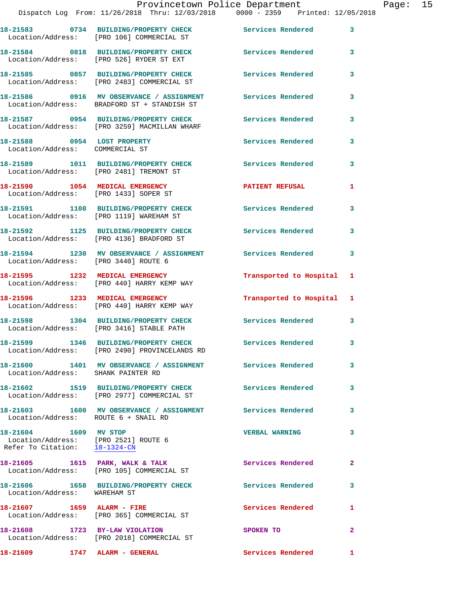|                                                                                                | Dispatch Log From: 11/26/2018 Thru: 12/03/2018 0000 - 2359 Printed: 12/05/2018                            | Provincetown Police Department |              | Page: 15 |  |
|------------------------------------------------------------------------------------------------|-----------------------------------------------------------------------------------------------------------|--------------------------------|--------------|----------|--|
|                                                                                                | 18-21583 0734 BUILDING/PROPERTY CHECK Services Rendered 3<br>Location/Address: [PRO 106] COMMERCIAL ST    |                                |              |          |  |
|                                                                                                | 18-21584 0818 BUILDING/PROPERTY CHECK Services Rendered 3<br>Location/Address: [PRO 526] RYDER ST EXT     |                                |              |          |  |
|                                                                                                | 18-21585 0857 BUILDING/PROPERTY CHECK Services Rendered<br>Location/Address: [PRO 2483] COMMERCIAL ST     |                                | $\mathbf{3}$ |          |  |
|                                                                                                | 18-21586 0916 MV OBSERVANCE / ASSIGNMENT Services Rendered<br>Location/Address: BRADFORD ST + STANDISH ST |                                | 3            |          |  |
|                                                                                                | 18-21587 0954 BUILDING/PROPERTY CHECK Services Rendered<br>Location/Address: [PRO 3259] MACMILLAN WHARF   |                                | 3            |          |  |
| Location/Address: COMMERCIAL ST                                                                | 18-21588 0954 LOST PROPERTY                                                                               | Services Rendered 3            |              |          |  |
|                                                                                                | 18-21589 1011 BUILDING/PROPERTY CHECK Services Rendered<br>Location/Address: [PRO 2481] TREMONT ST        |                                | 3            |          |  |
|                                                                                                | 18-21590 1054 MEDICAL EMERGENCY 1 PATIENT REFUSAL 1<br>Location/Address: [PRO 1433] SOPER ST              |                                |              |          |  |
|                                                                                                | 18-21591 1108 BUILDING/PROPERTY CHECK Services Rendered<br>Location/Address: [PRO 1119] WAREHAM ST        |                                | 3            |          |  |
|                                                                                                | 18-21592 1125 BUILDING/PROPERTY CHECK Services Rendered 3<br>Location/Address: [PRO 4136] BRADFORD ST     |                                |              |          |  |
|                                                                                                | 18-21594 1230 MV OBSERVANCE / ASSIGNMENT Services Rendered<br>Location/Address: [PRO 3440] ROUTE 6        |                                | 3            |          |  |
|                                                                                                | 18-21595 1232 MEDICAL EMERGENCY<br>Location/Address: [PRO 440] HARRY KEMP WAY                             | Transported to Hospital 1      |              |          |  |
|                                                                                                | 18-21596 1233 MEDICAL EMERGENCY<br>Location/Address: [PRO 440] HARRY KEMP WAY                             | Transported to Hospital 1      |              |          |  |
|                                                                                                | 18-21598 1304 BUILDING/PROPERTY CHECK<br>Location/Address: [PRO 3416] STABLE PATH                         | Services Rendered              | 3            |          |  |
|                                                                                                | 18-21599 1346 BUILDING/PROPERTY CHECK<br>Location/Address: [PRO 2490] PROVINCELANDS RD                    | <b>Services Rendered</b>       | 3            |          |  |
| Location/Address: SHANK PAINTER RD                                                             | 18-21600 1401 MV OBSERVANCE / ASSIGNMENT Services Rendered                                                |                                | 3            |          |  |
|                                                                                                | 18-21602 1519 BUILDING/PROPERTY CHECK Services Rendered<br>Location/Address: [PRO 2977] COMMERCIAL ST     |                                | 3            |          |  |
| Location/Address: ROUTE 6 + SNAIL RD                                                           | 18-21603 1600 MV OBSERVANCE / ASSIGNMENT Services Rendered                                                |                                | 3            |          |  |
| 18-21604 1609 MV STOP<br>Location/Address: [PRO 2521] ROUTE 6<br>Refer To Citation: 18-1324-CN |                                                                                                           | <b>VERBAL WARNING</b>          | 3            |          |  |
|                                                                                                | 18-21605 1615 PARK, WALK & TALK<br>Location/Address: [PRO 105] COMMERCIAL ST                              | Services Rendered              | 2            |          |  |
| Location/Address: WAREHAM ST                                                                   | 18-21606 1658 BUILDING/PROPERTY CHECK Services Rendered                                                   |                                | 3            |          |  |
|                                                                                                | 18-21607 1659 ALARM - FIRE<br>Location/Address: [PRO 365] COMMERCIAL ST                                   | Services Rendered              | 1            |          |  |
|                                                                                                | 18-21608 1723 BY-LAW VIOLATION<br>Location/Address: [PRO 2018] COMMERCIAL ST                              | SPOKEN TO                      | $\mathbf{2}$ |          |  |
| 18-21609 1747 ALARM - GENERAL                                                                  |                                                                                                           | Services Rendered 1            |              |          |  |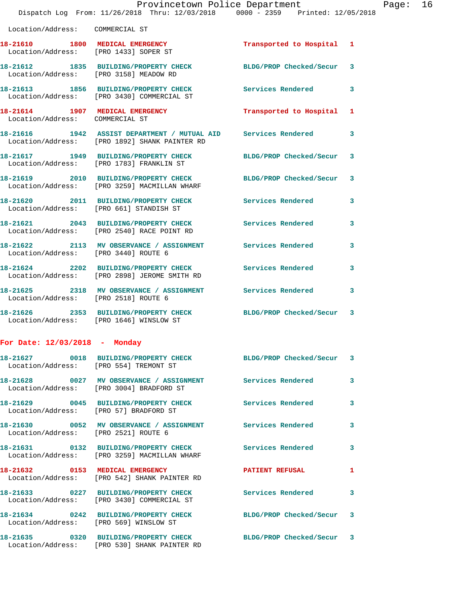|                                                                    | Provincetown Police Department<br>Dispatch Log From: 11/26/2018 Thru: 12/03/2018 0000 - 2359 Printed: 12/05/2018  |                          |   |
|--------------------------------------------------------------------|-------------------------------------------------------------------------------------------------------------------|--------------------------|---|
| Location/Address: COMMERCIAL ST                                    |                                                                                                                   |                          |   |
| Location/Address: [PRO 1433] SOPER ST                              | 18-21610 1800 MEDICAL EMERGENCY 1 Transported to Hospital                                                         |                          | 1 |
| Location/Address: [PRO 3158] MEADOW RD                             | 18-21612 1835 BUILDING/PROPERTY CHECK BLDG/PROP Checked/Secur                                                     |                          | 3 |
|                                                                    | 18-21613 1856 BUILDING/PROPERTY CHECK<br>Location/Address: [PRO 3430] COMMERCIAL ST                               | <b>Services Rendered</b> | 3 |
| 18-21614 1907 MEDICAL EMERGENCY<br>Location/Address: COMMERCIAL ST |                                                                                                                   | Transported to Hospital  | 1 |
|                                                                    | 18-21616  1942  ASSIST DEPARTMENT / MUTUAL AID Services Rendered<br>Location/Address: [PRO 1892] SHANK PAINTER RD |                          | 3 |
|                                                                    | 18-21617 1949 BUILDING/PROPERTY CHECK BLDG/PROP Checked/Secur<br>Location/Address: [PRO 1783] FRANKLIN ST         |                          | 3 |
|                                                                    | 18-21619 2010 BUILDING/PROPERTY CHECK<br>Location/Address: [PRO 3259] MACMILLAN WHARF                             | BLDG/PROP Checked/Secur  | 3 |
|                                                                    | 18-21620 2011 BUILDING/PROPERTY CHECK Services Rendered<br>Location/Address: [PRO 661] STANDISH ST                |                          | 3 |
|                                                                    | 18-21621 2043 BUILDING/PROPERTY CHECK<br>Location/Address: [PRO 2540] RACE POINT RD                               | <b>Services Rendered</b> | 3 |
| Location/Address: [PRO 3440] ROUTE 6                               | 18-21622 2113 MV OBSERVANCE / ASSIGNMENT Services Rendered                                                        |                          | 3 |
|                                                                    | 18-21624 2202 BUILDING/PROPERTY CHECK Services Rendered<br>Location/Address: [PRO 2898] JEROME SMITH RD           |                          | 3 |
| Location/Address: [PRO 2518] ROUTE 6                               | 18-21625 2318 MV OBSERVANCE / ASSIGNMENT Services Rendered                                                        |                          | 3 |
| Location/Address: [PRO 1646] WINSLOW ST                            | 18-21626 2353 BUILDING/PROPERTY CHECK BLDG/PROP Checked/Secur                                                     |                          | 3 |
| For Date: $12/03/2018$ - Monday                                    |                                                                                                                   |                          |   |
| Location/Address: [PRO 554] TREMONT ST                             | 18-21627 0018 BUILDING/PROPERTY CHECK BLDG/PROP Checked/Secur                                                     |                          | 3 |
|                                                                    | 18-21628 0027 MV OBSERVANCE / ASSIGNMENT Services Rendered<br>Location/Address: [PRO 3004] BRADFORD ST            |                          | 3 |
| Location/Address: [PRO 57] BRADFORD ST                             | 18-21629 0045 BUILDING/PROPERTY CHECK Services Rendered                                                           |                          | 3 |
| Location/Address: [PRO 2521] ROUTE 6                               | 18-21630 0052 MV OBSERVANCE / ASSIGNMENT Services Rendered                                                        |                          | 3 |
|                                                                    | 18-21631 0132 BUILDING/PROPERTY CHECK Services Rendered<br>Location/Address: [PRO 3259] MACMILLAN WHARF           |                          | 3 |
|                                                                    | 18-21632 0153 MEDICAL EMERGENCY<br>Location/Address: [PRO 542] SHANK PAINTER RD                                   | <b>PATIENT REFUSAL</b>   | 1 |
|                                                                    | 18-21633 0227 BUILDING/PROPERTY CHECK<br>Location/Address: [PRO 3430] COMMERCIAL ST                               | Services Rendered        | 3 |
|                                                                    | 18-21634 0242 BUILDING/PROPERTY CHECK<br>Location/Address: [PRO 569] WINSLOW ST                                   | BLDG/PROP Checked/Secur  | 3 |

**18-21635 0320 BUILDING/PROPERTY CHECK BLDG/PROP Checked/Secur 3**  Location/Address: [PRO 530] SHANK PAINTER RD

Page:  $16$ <br> $18$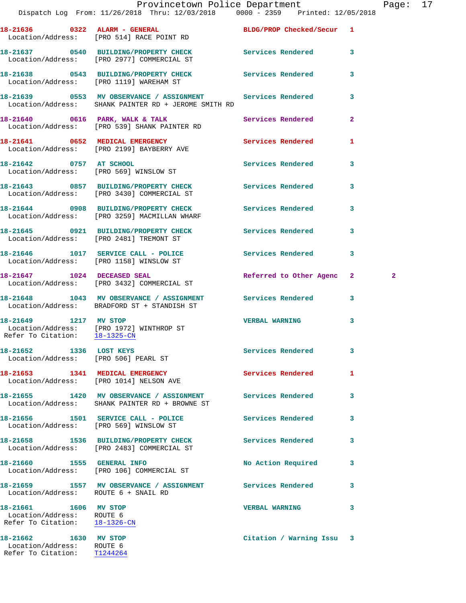|                                                                                     |                                                                                                                                                        | Provincetown Police Department |                         | Page: 17       |  |
|-------------------------------------------------------------------------------------|--------------------------------------------------------------------------------------------------------------------------------------------------------|--------------------------------|-------------------------|----------------|--|
|                                                                                     | Dispatch Log From: 11/26/2018 Thru: 12/03/2018 0000 - 2359 Printed: 12/05/2018                                                                         |                                |                         |                |  |
|                                                                                     | 18-21636 0322 ALARM - GENERAL<br>Location/Address: [PRO 514] RACE POINT RD                                                                             | BLDG/PROP Checked/Secur 1      |                         |                |  |
|                                                                                     | 18-21637 0540 BUILDING/PROPERTY CHECK Services Rendered 3<br>Location/Address: [PRO 2977] COMMERCIAL ST                                                |                                |                         |                |  |
|                                                                                     | 18-21638 0543 BUILDING/PROPERTY CHECK Services Rendered 3<br>Location/Address: [PRO 1119] WAREHAM ST                                                   |                                |                         |                |  |
|                                                                                     | 18-21639              0553    MV OBSERVANCE / ASSIGNMENT                Services Rendered<br>Location/Address:      SHANK PAINTER RD + JEROME SMITH RD |                                | 3                       |                |  |
|                                                                                     | 18-21640 0616 PARK, WALK & TALK<br>Location/Address: [PRO 539] SHANK PAINTER RD                                                                        | Services Rendered              | $\overline{2}$          |                |  |
|                                                                                     | 18-21641 0652 MEDICAL EMERGENCY<br>Location/Address: [PRO 2199] BAYBERRY AVE                                                                           | <b>Services Rendered</b>       | $\mathbf{1}$            |                |  |
|                                                                                     | 18-21642 0757 AT SCHOOL<br>Location/Address: [PRO 569] WINSLOW ST                                                                                      | Services Rendered              | 3                       |                |  |
|                                                                                     | 18-21643 0857 BUILDING/PROPERTY CHECK Services Rendered<br>Location/Address: [PRO 3430] COMMERCIAL ST                                                  |                                | $\overline{\mathbf{3}}$ |                |  |
|                                                                                     | 18-21644 0908 BUILDING/PROPERTY CHECK Services Rendered<br>Location/Address: [PRO 3259] MACMILLAN WHARF                                                |                                | $\mathbf{3}$            |                |  |
|                                                                                     | 18-21645 0921 BUILDING/PROPERTY CHECK Services Rendered 3<br>Location/Address: [PRO 2481] TREMONT ST                                                   |                                |                         |                |  |
|                                                                                     | 18-21646 1017 SERVICE CALL - POLICE<br>Location/Address: [PRO 1158] WINSLOW ST                                                                         | <b>Services Rendered</b>       | 3                       |                |  |
|                                                                                     | 18-21647 1024 DECEASED SEAL<br>Location/Address: [PRO 3432] COMMERCIAL ST                                                                              | Referred to Other Agenc 2      |                         | $\overline{a}$ |  |
|                                                                                     | 18-21648 1043 MV OBSERVANCE / ASSIGNMENT Services Rendered 3<br>Location/Address: BRADFORD ST + STANDISH ST                                            |                                |                         |                |  |
| 18-21649 1217 MV STOP<br>Refer To Citation: 18-1325-CN                              | Location/Address: [PRO 1972] WINTHROP ST                                                                                                               | <b>VERBAL WARNING</b>          | 3                       |                |  |
| Location/Address: [PRO 506] PEARL ST                                                |                                                                                                                                                        | Services Rendered              | 3                       |                |  |
| 18-21653 1341 MEDICAL EMERGENCY                                                     | Location/Address: [PRO 1014] NELSON AVE                                                                                                                | Services Rendered              | 1                       |                |  |
|                                                                                     | 18-21655 1420 MV OBSERVANCE / ASSIGNMENT Services Rendered<br>Location/Address: SHANK PAINTER RD + BROWNE ST                                           |                                | 3                       |                |  |
|                                                                                     | 18-21656 1501 SERVICE CALL - POLICE<br>Location/Address: [PRO 569] WINSLOW ST                                                                          | <b>Services Rendered</b>       | 3                       |                |  |
|                                                                                     | 18-21658 1536 BUILDING/PROPERTY CHECK Services Rendered<br>Location/Address: [PRO 2483] COMMERCIAL ST                                                  |                                | 3                       |                |  |
|                                                                                     | 18-21660 1555 GENERAL INFO<br>Location/Address: [PRO 106] COMMERCIAL ST                                                                                | No Action Required             | $\mathbf{3}$            |                |  |
| Location/Address: ROUTE 6 + SNAIL RD                                                | 18-21659 1557 MV OBSERVANCE / ASSIGNMENT Services Rendered                                                                                             |                                | 3                       |                |  |
| 18-21661 1606 MV STOP<br>Location/Address: ROUTE 6<br>Refer To Citation: 18-1326-CN |                                                                                                                                                        | <b>VERBAL WARNING</b>          | 3                       |                |  |
| 18-21662 1630 MV STOP<br>Location/Address: ROUTE 6                                  |                                                                                                                                                        | Citation / Warning Issu 3      |                         |                |  |

Refer To Citation: T1244264